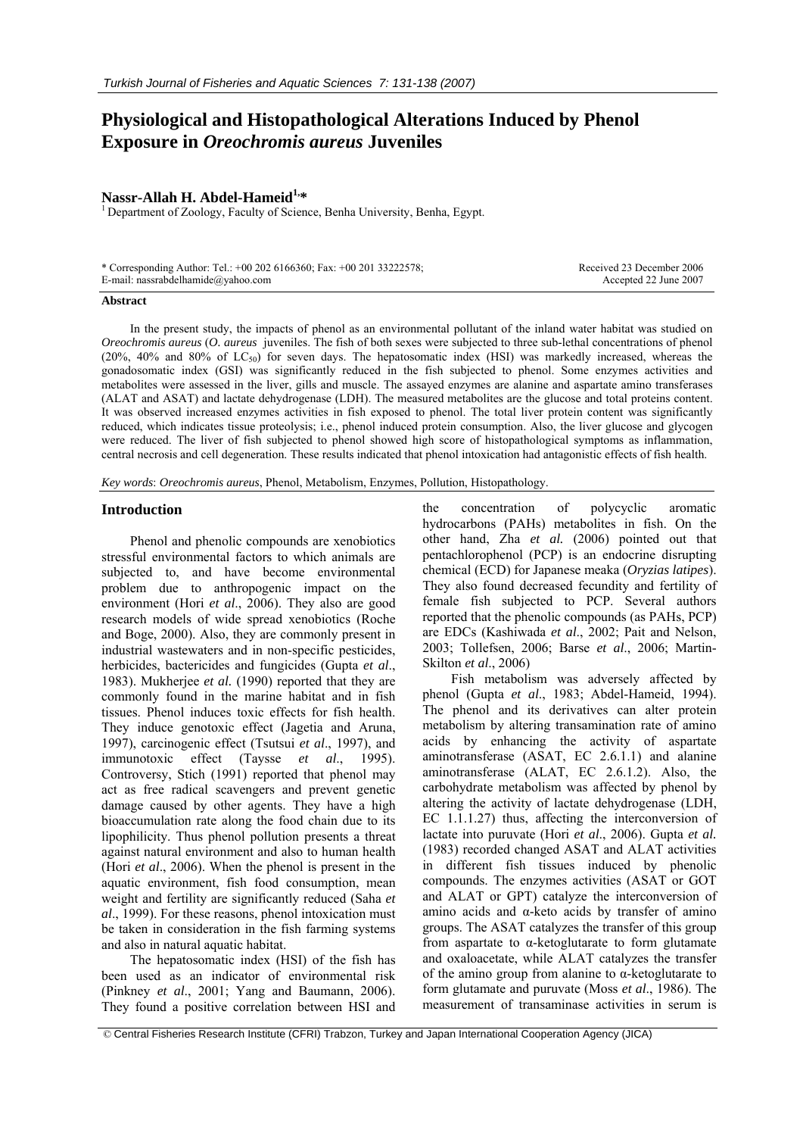# **Physiological and Histopathological Alterations Induced by Phenol Exposure in** *Oreochromis aureus* **Juveniles**

**Nassr-Allah H. Abdel-Hameid<sup>1,\*</sup>**<br><sup>1</sup> Department of Zoology, Faculty of Science, Benha University, Benha, Egypt.

| * Corresponding Author: Tel.: +00 202 6166360; Fax: +00 201 33222578; |  |
|-----------------------------------------------------------------------|--|
| E-mail: nassrabdelhamide@yahoo.com                                    |  |

Received 23 December 2006 Accepted 22 June 2007

#### **Abstract**

In the present study, the impacts of phenol as an environmental pollutant of the inland water habitat was studied on *Oreochromis aureus* (*O. aureus* juveniles. The fish of both sexes were subjected to three sub-lethal concentrations of phenol (20%, 40% and 80% of  $LC_{50}$ ) for seven days. The hepatosomatic index (HSI) was markedly increased, whereas the gonadosomatic index (GSI) was significantly reduced in the fish subjected to phenol. Some enzymes activities and metabolites were assessed in the liver, gills and muscle. The assayed enzymes are alanine and aspartate amino transferases (ALAT and ASAT) and lactate dehydrogenase (LDH). The measured metabolites are the glucose and total proteins content. It was observed increased enzymes activities in fish exposed to phenol. The total liver protein content was significantly reduced, which indicates tissue proteolysis; i.e., phenol induced protein consumption. Also, the liver glucose and glycogen were reduced. The liver of fish subjected to phenol showed high score of histopathological symptoms as inflammation, central necrosis and cell degeneration. These results indicated that phenol intoxication had antagonistic effects of fish health.

*Key words*: *Oreochromis aureus*, Phenol, Metabolism, Enzymes, Pollution, Histopathology.

#### **Introduction**

Phenol and phenolic compounds are xenobiotics stressful environmental factors to which animals are subjected to, and have become environmental problem due to anthropogenic impact on the environment (Hori *et al*., 2006). They also are good research models of wide spread xenobiotics (Roche and Boge, 2000). Also, they are commonly present in industrial wastewaters and in non-specific pesticides, herbicides, bactericides and fungicides (Gupta *et al*., 1983). Mukherjee *et al.* (1990) reported that they are commonly found in the marine habitat and in fish tissues. Phenol induces toxic effects for fish health. They induce genotoxic effect (Jagetia and Aruna, 1997), carcinogenic effect (Tsutsui *et al*., 1997), and immunotoxic effect (Taysse *et al*., 1995). Controversy, Stich (1991) reported that phenol may act as free radical scavengers and prevent genetic damage caused by other agents. They have a high bioaccumulation rate along the food chain due to its lipophilicity. Thus phenol pollution presents a threat against natural environment and also to human health (Hori *et al*., 2006). When the phenol is present in the aquatic environment, fish food consumption, mean weight and fertility are significantly reduced (Saha *et al*., 1999). For these reasons, phenol intoxication must be taken in consideration in the fish farming systems and also in natural aquatic habitat.

The hepatosomatic index (HSI) of the fish has been used as an indicator of environmental risk (Pinkney *et al*., 2001; Yang and Baumann, 2006). They found a positive correlation between HSI and

the concentration of polycyclic aromatic hydrocarbons (PAHs) metabolites in fish. On the other hand, Zha *et al.* (2006) pointed out that pentachlorophenol (PCP) is an endocrine disrupting chemical (ECD) for Japanese meaka (*Oryzias latipes*). They also found decreased fecundity and fertility of female fish subjected to PCP. Several authors reported that the phenolic compounds (as PAHs, PCP) are EDCs (Kashiwada *et al*., 2002; Pait and Nelson, 2003; Tollefsen, 2006; Barse *et al*., 2006; Martin-Skilton *et al*., 2006)

Fish metabolism was adversely affected by phenol (Gupta *et al*., 1983; Abdel-Hameid, 1994). The phenol and its derivatives can alter protein metabolism by altering transamination rate of amino acids by enhancing the activity of aspartate aminotransferase (ASAT, EC 2.6.1.1) and alanine aminotransferase (ALAT, EC 2.6.1.2). Also, the carbohydrate metabolism was affected by phenol by altering the activity of lactate dehydrogenase (LDH, EC 1.1.1.27) thus, affecting the interconversion of lactate into puruvate (Hori *et al*., 2006). Gupta *et al.* (1983) recorded changed ASAT and ALAT activities in different fish tissues induced by phenolic compounds. The enzymes activities (ASAT or GOT and ALAT or GPT) catalyze the interconversion of amino acids and α-keto acids by transfer of amino groups. The ASAT catalyzes the transfer of this group from aspartate to  $\alpha$ -ketoglutarate to form glutamate and oxaloacetate, while ALAT catalyzes the transfer of the amino group from alanine to α-ketoglutarate to form glutamate and puruvate (Moss *et al*., 1986). The measurement of transaminase activities in serum is

 <sup>©</sup> Central Fisheries Research Institute (CFRI) Trabzon, Turkey and Japan International Cooperation Agency (JICA)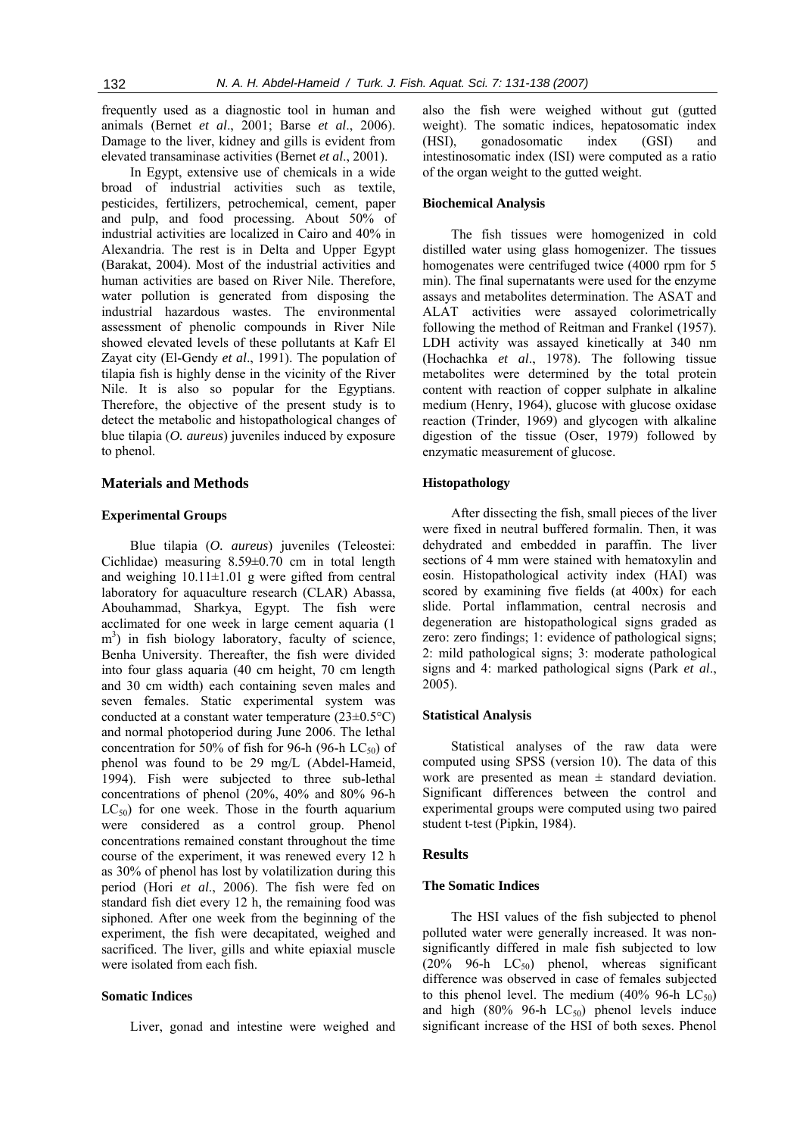frequently used as a diagnostic tool in human and animals (Bernet *et al*., 2001; Barse *et al*., 2006). Damage to the liver, kidney and gills is evident from elevated transaminase activities (Bernet *et al*., 2001).

In Egypt, extensive use of chemicals in a wide broad of industrial activities such as textile, pesticides, fertilizers, petrochemical, cement, paper and pulp, and food processing. About 50% of industrial activities are localized in Cairo and 40% in Alexandria. The rest is in Delta and Upper Egypt (Barakat, 2004). Most of the industrial activities and human activities are based on River Nile. Therefore, water pollution is generated from disposing the industrial hazardous wastes. The environmental assessment of phenolic compounds in River Nile showed elevated levels of these pollutants at Kafr El Zayat city (El-Gendy *et al*., 1991). The population of tilapia fish is highly dense in the vicinity of the River Nile. It is also so popular for the Egyptians. Therefore, the objective of the present study is to detect the metabolic and histopathological changes of blue tilapia (*O. aureus*) juveniles induced by exposure to phenol.

#### **Materials and Methods**

# **Experimental Groups**

Blue tilapia (*O. aureus*) juveniles (Teleostei: Cichlidae) measuring 8.59±0.70 cm in total length and weighing  $10.11 \pm 1.01$  g were gifted from central laboratory for aquaculture research (CLAR) Abassa, Abouhammad, Sharkya, Egypt. The fish were acclimated for one week in large cement aquaria (1 m<sup>3</sup>) in fish biology laboratory, faculty of science, Benha University. Thereafter, the fish were divided into four glass aquaria (40 cm height, 70 cm length and 30 cm width) each containing seven males and seven females. Static experimental system was conducted at a constant water temperature  $(23\pm0.5^{\circ}C)$ and normal photoperiod during June 2006. The lethal concentration for 50% of fish for 96-h (96-h  $LC_{50}$ ) of phenol was found to be 29 mg/L (Abdel-Hameid, 1994). Fish were subjected to three sub-lethal concentrations of phenol (20%, 40% and 80% 96-h  $LC_{50}$ ) for one week. Those in the fourth aquarium were considered as a control group. Phenol concentrations remained constant throughout the time course of the experiment, it was renewed every 12 h as 30% of phenol has lost by volatilization during this period (Hori *et al*., 2006). The fish were fed on standard fish diet every 12 h, the remaining food was siphoned. After one week from the beginning of the experiment, the fish were decapitated, weighed and sacrificed. The liver, gills and white epiaxial muscle were isolated from each fish.

# **Somatic Indices**

Liver, gonad and intestine were weighed and

also the fish were weighed without gut (gutted weight). The somatic indices, hepatosomatic index (HSI), gonadosomatic index (GSI) and intestinosomatic index (ISI) were computed as a ratio of the organ weight to the gutted weight.

#### **Biochemical Analysis**

The fish tissues were homogenized in cold distilled water using glass homogenizer. The tissues homogenates were centrifuged twice (4000 rpm for 5 min). The final supernatants were used for the enzyme assays and metabolites determination. The ASAT and ALAT activities were assayed colorimetrically following the method of Reitman and Frankel (1957). LDH activity was assayed kinetically at 340 nm (Hochachka *et al*., 1978). The following tissue metabolites were determined by the total protein content with reaction of copper sulphate in alkaline medium (Henry, 1964), glucose with glucose oxidase reaction (Trinder, 1969) and glycogen with alkaline digestion of the tissue (Oser, 1979) followed by enzymatic measurement of glucose.

# **Histopathology**

After dissecting the fish, small pieces of the liver were fixed in neutral buffered formalin. Then, it was dehydrated and embedded in paraffin. The liver sections of 4 mm were stained with hematoxylin and eosin. Histopathological activity index (HAI) was scored by examining five fields (at 400x) for each slide. Portal inflammation, central necrosis and degeneration are histopathological signs graded as zero: zero findings; 1: evidence of pathological signs; 2: mild pathological signs; 3: moderate pathological signs and 4: marked pathological signs (Park *et al*., 2005).

# **Statistical Analysis**

Statistical analyses of the raw data were computed using SPSS (version 10). The data of this work are presented as mean  $\pm$  standard deviation. Significant differences between the control and experimental groups were computed using two paired student t-test (Pipkin, 1984).

# **Results**

#### **The Somatic Indices**

The HSI values of the fish subjected to phenol polluted water were generally increased. It was nonsignificantly differed in male fish subjected to low  $(20\%$  96-h LC<sub>50</sub>) phenol, whereas significant difference was observed in case of females subjected to this phenol level. The medium  $(40\% \, 96-h \, LC_{50})$ and high  $(80\% \, 96-h \, LC_{50})$  phenol levels induce significant increase of the HSI of both sexes. Phenol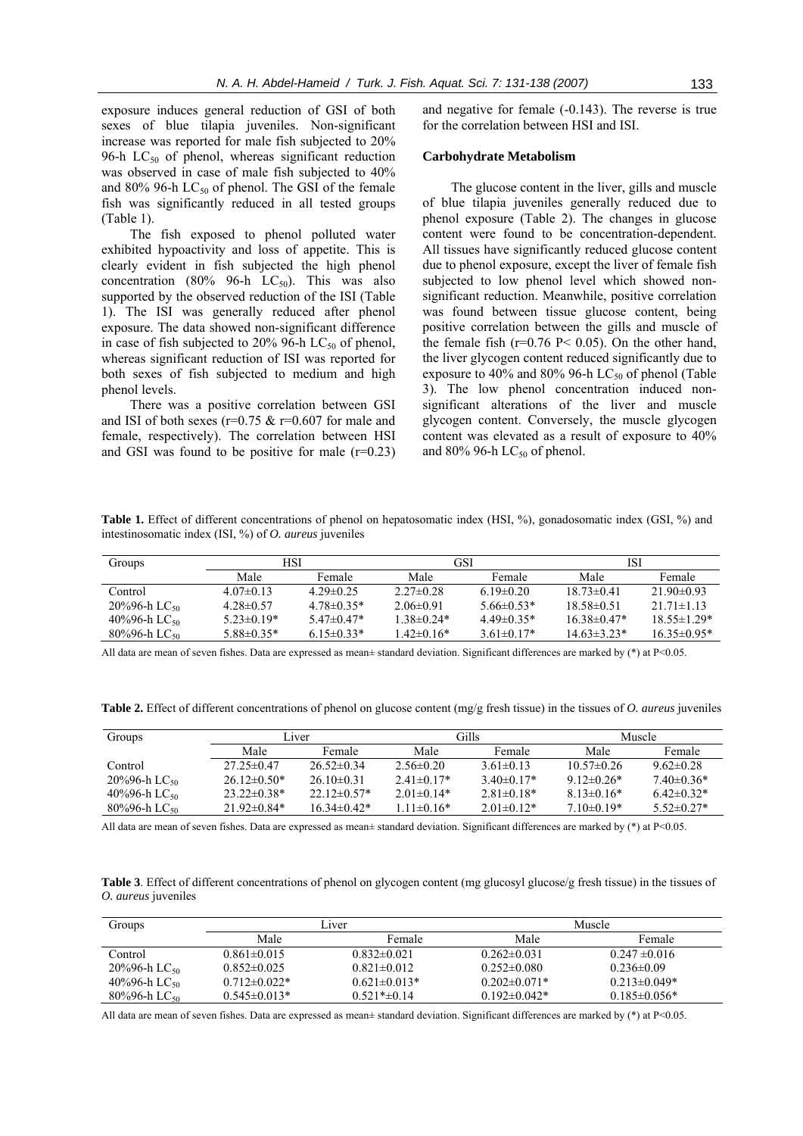exposure induces general reduction of GSI of both sexes of blue tilapia juveniles. Non-significant increase was reported for male fish subjected to 20% 96-h  $LC_{50}$  of phenol, whereas significant reduction was observed in case of male fish subjected to 40% and 80% 96-h  $LC_{50}$  of phenol. The GSI of the female fish was significantly reduced in all tested groups (Table 1).

The fish exposed to phenol polluted water exhibited hypoactivity and loss of appetite. This is clearly evident in fish subjected the high phenol concentration (80% 96-h  $LC_{50}$ ). This was also supported by the observed reduction of the ISI (Table 1). The ISI was generally reduced after phenol exposure. The data showed non-significant difference in case of fish subjected to 20% 96-h  $LC_{50}$  of phenol, whereas significant reduction of ISI was reported for both sexes of fish subjected to medium and high phenol levels.

There was a positive correlation between GSI and ISI of both sexes ( $r=0.75 \& r=0.607$  for male and female, respectively). The correlation between HSI and GSI was found to be positive for male  $(r=0.23)$  and negative for female (-0.143). The reverse is true for the correlation between HSI and ISI.

# **Carbohydrate Metabolism**

The glucose content in the liver, gills and muscle of blue tilapia juveniles generally reduced due to phenol exposure (Table 2). The changes in glucose content were found to be concentration-dependent. All tissues have significantly reduced glucose content due to phenol exposure, except the liver of female fish subjected to low phenol level which showed nonsignificant reduction. Meanwhile, positive correlation was found between tissue glucose content, being positive correlation between the gills and muscle of the female fish ( $r=0.76$  P $\leq$  0.05). On the other hand, the liver glycogen content reduced significantly due to exposure to 40% and 80% 96-h  $LC_{50}$  of phenol (Table 3). The low phenol concentration induced nonsignificant alterations of the liver and muscle glycogen content. Conversely, the muscle glycogen content was elevated as a result of exposure to 40% and 80% 96-h  $LC_{50}$  of phenol.

**Table 1.** Effect of different concentrations of phenol on hepatosomatic index (HSI, %), gonadosomatic index (GSI, %) and intestinosomatic index (ISI, %) of *O. aureus* juveniles

| Groups                      | <b>HSI</b>     |                | GSI              |                  | ISI              |                   |
|-----------------------------|----------------|----------------|------------------|------------------|------------------|-------------------|
|                             | Male           | <b>Female</b>  | Male             | Female           | Male             | Female            |
| Control                     | $4.07\pm0.13$  | $429\pm0.25$   | $2.27\pm 0.28$   | $619\pm0.20$     | $18.73 \pm 0.41$ | $21.90\pm0.93$    |
| $20\%96-h$ LC <sub>50</sub> | $428\pm0.57$   | $478\pm0.35*$  | $2.06\pm0.91$    | $566\pm0.53*$    | $18.58\pm0.51$   | $21.71 \pm 1.13$  |
| 40%96-h LC <sub>50</sub>    | $5.23\pm0.19*$ | $5.47\pm0.47*$ | $1.38 \pm 0.24*$ | $449\pm0.35*$    | $16.38\pm0.47*$  | $18.55 \pm 1.29*$ |
| $80\%96-h$ LC <sub>50</sub> | $5.88\pm0.35*$ | $6.15\pm0.33*$ | $1.42 \pm 0.16*$ | $3.61 \pm 0.17*$ | $14.63\pm3.23*$  | $16.35\pm0.95*$   |

All data are mean of seven fishes. Data are expressed as mean± standard deviation. Significant differences are marked by (\*) at P<0.05.

**Table 2.** Effect of different concentrations of phenol on glucose content (mg/g fresh tissue) in the tissues of *O. aureus* juveniles

| Groups                       | Liver             |                 | Gills            |                     | Muscle           |                 |
|------------------------------|-------------------|-----------------|------------------|---------------------|------------------|-----------------|
|                              | Male              | Female          | Male             | Female              | Male             | Female          |
| Control                      | $27.25 \pm 0.47$  | $26.52\pm0.34$  | $2.56\pm0.20$    | $3.61 \pm 0.13$     | $10.57\pm 0.26$  | $9.62 \pm 0.28$ |
| $20\%96$ -h LC <sub>50</sub> | $26.12\pm0.50*$   | $2610\pm0.31$   | $2.41\pm 0.17*$  | 3.40 $\pm$ 0.17 $*$ | 9 12 $\pm$ 0 26* | $740\pm0.36*$   |
| 40%96-h LC <sub>50</sub>     | $23.22 \pm 0.38*$ | $22.12\pm0.57*$ | $2.01\pm0.14*$   | $2.81\pm0.18*$      | $813\pm0.16*$    | $6.42\pm0.32*$  |
| $80\%96$ -h LC <sub>50</sub> | $21.92\pm 0.84*$  | $16.34\pm0.42*$ | $1.11 \pm 0.16*$ | $2.01 \pm 0.12*$    | $7.10\pm0.19*$   | $5.52\pm0.27*$  |

All data are mean of seven fishes. Data are expressed as mean± standard deviation. Significant differences are marked by (\*) at P<0.05.

**Table 3**. Effect of different concentrations of phenol on glycogen content (mg glucosyl glucose/g fresh tissue) in the tissues of *O. aureus* juveniles

| Groups                       |                     | Liver              |                     | Muscle             |
|------------------------------|---------------------|--------------------|---------------------|--------------------|
|                              | Male                | Female             | Male                | Female             |
| Control                      | $0.861 \pm 0.015$   | $0.832\pm0.021$    | $0.262\pm0.031$     | $0.247 \pm 0.016$  |
| $20\%96-h$ LC <sub>50</sub>  | $0.852\pm0.025$     | $0.821 \pm 0.012$  | $0.252\pm0.080$     | $0.236 \pm 0.09$   |
| 40%96-h LC <sub>50</sub>     | $0.712 \pm 0.022$ * | $0.621 \pm 0.013*$ | $0.202 \pm 0.071$ * | $0.213 \pm 0.049*$ |
| $80\%96$ -h LC <sub>50</sub> | $0.545 \pm 0.013*$  | $0.521* \pm 0.14$  | $0.192 \pm 0.042*$  | $0.185 \pm 0.056*$ |

All data are mean of seven fishes. Data are expressed as mean $\pm$  standard deviation. Significant differences are marked by  $(*)$  at P<0.05.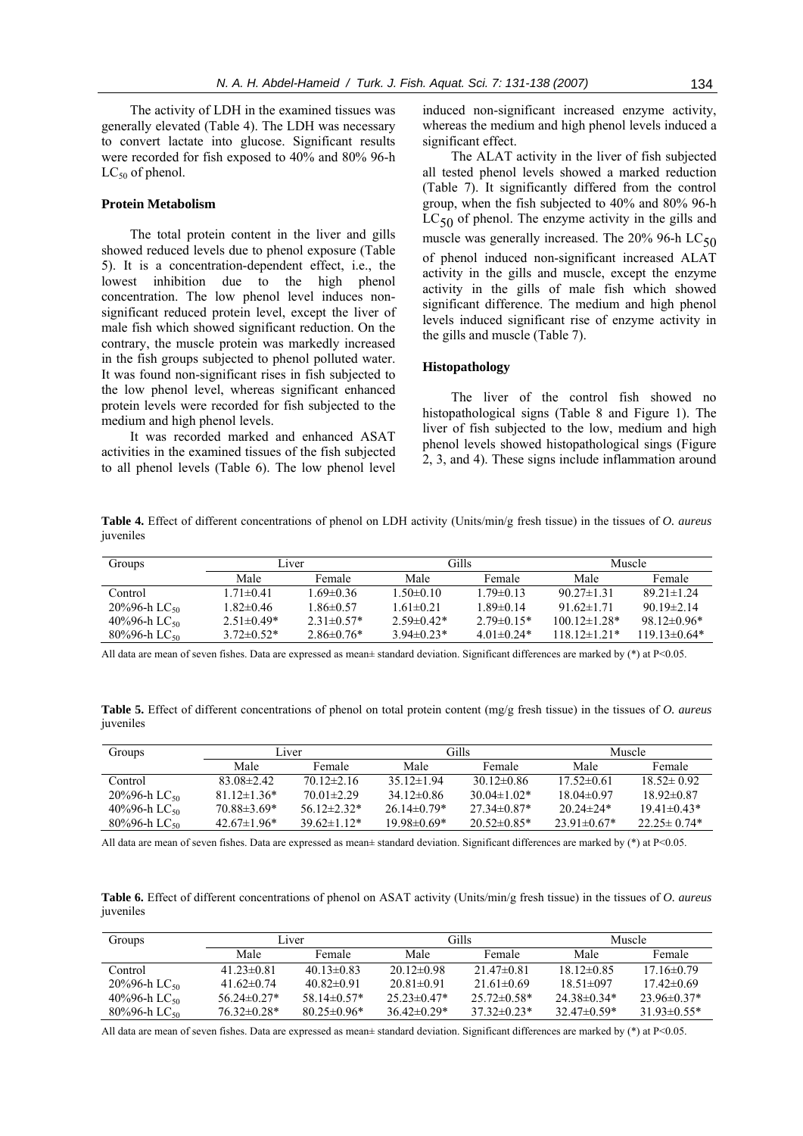The activity of LDH in the examined tissues was generally elevated (Table 4). The LDH was necessary to convert lactate into glucose. Significant results were recorded for fish exposed to 40% and 80% 96-h  $LC_{50}$  of phenol.

# **Protein Metabolism**

The total protein content in the liver and gills showed reduced levels due to phenol exposure (Table 5). It is a concentration-dependent effect, i.e., the lowest inhibition due to the high phenol concentration. The low phenol level induces nonsignificant reduced protein level, except the liver of male fish which showed significant reduction. On the contrary, the muscle protein was markedly increased in the fish groups subjected to phenol polluted water. It was found non-significant rises in fish subjected to the low phenol level, whereas significant enhanced protein levels were recorded for fish subjected to the medium and high phenol levels.

It was recorded marked and enhanced ASAT activities in the examined tissues of the fish subjected to all phenol levels (Table 6). The low phenol level induced non-significant increased enzyme activity, whereas the medium and high phenol levels induced a significant effect.

The ALAT activity in the liver of fish subjected all tested phenol levels showed a marked reduction (Table 7). It significantly differed from the control group, when the fish subjected to 40% and 80% 96-h  $LC_{50}$  of phenol. The enzyme activity in the gills and muscle was generally increased. The  $20\%$  96-h LC<sub>50</sub> of phenol induced non-significant increased ALAT activity in the gills and muscle, except the enzyme activity in the gills of male fish which showed significant difference. The medium and high phenol levels induced significant rise of enzyme activity in the gills and muscle (Table 7).

# **Histopathology**

The liver of the control fish showed no histopathological signs (Table 8 and Figure 1). The liver of fish subjected to the low, medium and high phenol levels showed histopathological sings (Figure 2, 3, and 4). These signs include inflammation around

**Table 4.** Effect of different concentrations of phenol on LDH activity (Units/min/g fresh tissue) in the tissues of *O. aureus* juveniles

| Groups                      | Liver            |                 | Gills           |                     | Muscle              |                  |
|-----------------------------|------------------|-----------------|-----------------|---------------------|---------------------|------------------|
|                             | Male             | Female.         | Male            | Female              | Male                | Female           |
| Control                     | $1.71 \pm 0.41$  | 1 69±0 36       | $1.50 \pm 0.10$ | $179 \pm 013$       | $90.27 \pm 1.31$    | $8921\pm1.24$    |
| $20\%96-h$ LC <sub>50</sub> | 1.82±0.46        | $1.86 \pm 0.57$ | $1.61 \pm 0.21$ | $189\pm0.14$        | 91.62 $\pm$ 1.71    | $9019\pm2.14$    |
| 40%96-h LC <sub>50</sub>    | $2.51 \pm 0.49*$ | $2.31\pm0.57*$  | $2.59\pm0.42*$  | $2.79\pm 0.15*$     | $100.12 \pm 1.28$ * | $98.12\pm0.96*$  |
| $80\%96-h$ LC <sub>50</sub> | $3.72\pm0.52*$   | $2.86\pm0.76*$  | $3.94\pm0.23*$  | 4 01 $\pm$ 0 24 $*$ | $11812 \pm 121*$    | $119.13\pm0.64*$ |

All data are mean of seven fishes. Data are expressed as mean± standard deviation. Significant differences are marked by (\*) at P<0.05.

**Table 5.** Effect of different concentrations of phenol on total protein content (mg/g fresh tissue) in the tissues of *O. aureus* juveniles

| Groups                      | Liver             |                    | Gills            |                   | Muscle             |                   |
|-----------------------------|-------------------|--------------------|------------------|-------------------|--------------------|-------------------|
|                             | Male              | Female             | Male             | Female            | Male               | Female            |
| Control                     | $83.08 \pm 2.42$  | $70.12 \pm 2.16$   | $35.12 \pm 1.94$ | $30.12\pm0.86$    | $17.52\pm0.61$     | $18.52 \pm 0.92$  |
| $20\%96-h$ LC <sub>50</sub> | $81.12 \pm 1.36*$ | $70.01 \pm 2.29$   | $34.12\pm0.86$   | $30.04 \pm 1.02*$ | $18.04\pm0.97$     | $18.92 \pm 0.87$  |
| 40%96-h LC <sub>50</sub>    | $70.88\pm3.69*$   | $56.12 \pm 2.32*$  | $26.14\pm0.79*$  | $27.34\pm0.87*$   | $20.24 \pm 24$ *   | $19.41\pm0.43*$   |
| $80\%96-h$ LC <sub>50</sub> | $42.67 \pm 1.96*$ | $39.62 \pm 1.12^*$ | $19.98\pm0.69*$  | $20.52\pm0.85*$   | $23.91 \pm 0.67$ * | $22.25 \pm 0.74*$ |

All data are mean of seven fishes. Data are expressed as mean± standard deviation. Significant differences are marked by  $(*)$  at P<0.05.

**Table 6.** Effect of different concentrations of phenol on ASAT activity (Units/min/g fresh tissue) in the tissues of *O. aureus* juveniles

| Groups                      | Liver             |                   | Gills             |                  | Muscle            |                 |
|-----------------------------|-------------------|-------------------|-------------------|------------------|-------------------|-----------------|
|                             | Male              | Female            | Male              | Female           | Male              | Female          |
| Control                     | $41.23 \pm 0.81$  | $40.13 \pm 0.83$  | $20.12 \pm 0.98$  | $21.47\pm 0.81$  | $18.12\pm0.85$    | $17.16\pm0.79$  |
| $20\%96-h$ LC <sub>50</sub> | 41 $62\pm0.74$    | $40.82 \pm 0.91$  | $20.81 \pm 0.91$  | $21.61 \pm 0.69$ | $18.51 \pm 0.097$ | $17.42\pm0.69$  |
| 40%96-h $LC_{50}$           | 56 24 $\pm$ 0 27* | $58.14\pm0.57*$   | $25.23 \pm 0.47*$ | $25.72\pm0.58*$  | $24.38\pm0.34*$   | $2396\pm0.37*$  |
| 80%96-h $LC_{50}$           | $76.32\pm0.28*$   | $80.25 \pm 0.96*$ | $36.42\pm0.29*$   | $37.32\pm0.23*$  | $32.47\pm 0.59*$  | $31.93\pm0.55*$ |

All data are mean of seven fishes. Data are expressed as mean± standard deviation. Significant differences are marked by (\*) at P<0.05.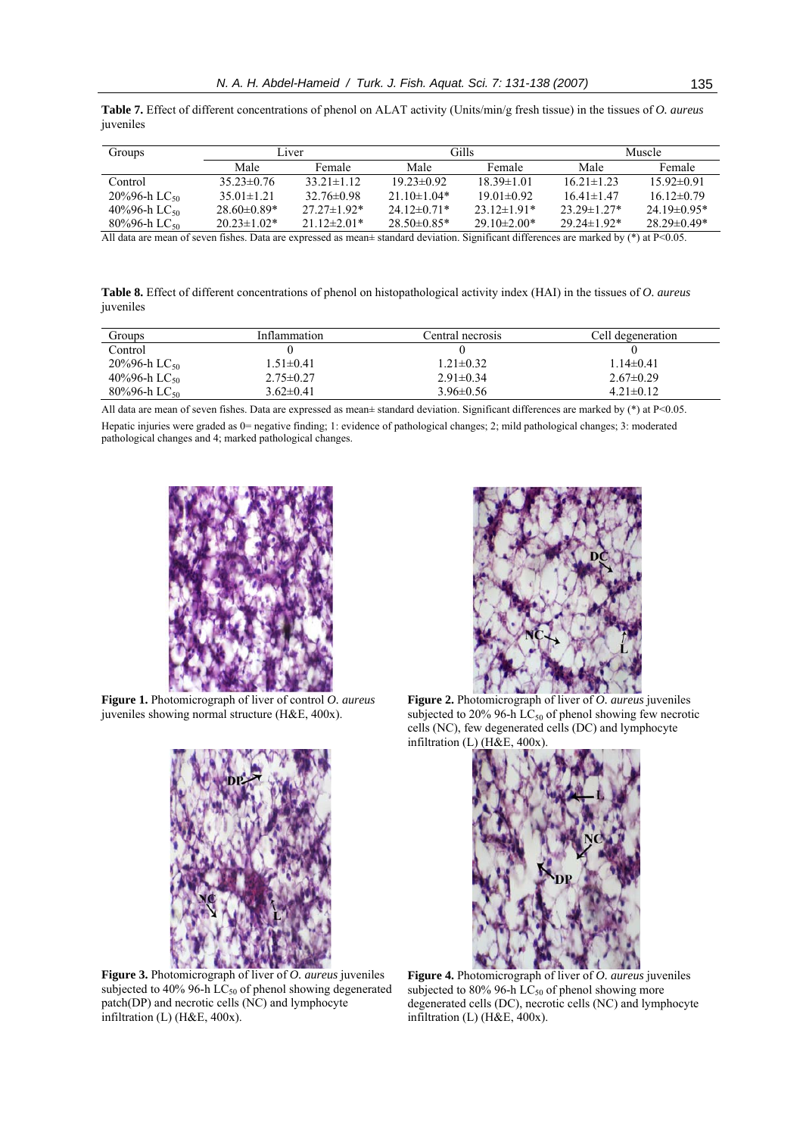**Table 7.** Effect of different concentrations of phenol on ALAT activity (Units/min/g fresh tissue) in the tissues of *O. aureus* juveniles

| Groups                      | Liver             |                   | Gills             |                   | Muscle             |                   |
|-----------------------------|-------------------|-------------------|-------------------|-------------------|--------------------|-------------------|
|                             | Male              | Female            | Male              | Female            | Male               | Female            |
| Control                     | $35.23 \pm 0.76$  | $33.21 \pm 1.12$  | $1923\pm0.92$     | $18.39 \pm 1.01$  | $16.21 \pm 1.23$   | $1592\pm0.91$     |
| $20\%96-h$ LC <sub>50</sub> | $35.01 \pm 1.21$  | $32.76\pm0.98$    | $21.10 \pm 1.04*$ | $19.01 \pm 0.92$  | $16.41 \pm 1.47$   | $16.12\pm0.79$    |
| 40%96-h LC <sub>50</sub>    | $28.60\pm0.89*$   | $27.27 \pm 1.92*$ | $24.12\pm0.71*$   | $23.12 \pm 1.91*$ | $23.29 \pm 1.27$ * | $24.19\pm0.95*$   |
| $80\%96-h$ LC <sub>50</sub> | $20.23 \pm 1.02*$ | $21.12\pm2.01*$   | $28.50\pm0.85*$   | $29.10\pm2.00*$   | $29.24 \pm 1.92^*$ | $28.29 \pm 0.49*$ |

All data are mean of seven fishes. Data are expressed as mean± standard deviation. Significant differences are marked by (\*) at P<0.05.

**Table 8.** Effect of different concentrations of phenol on histopathological activity index (HAI) in the tissues of *O. aureus* juveniles

| Groups                       | Inflammation    | Central necrosis | Cell degeneration |
|------------------------------|-----------------|------------------|-------------------|
| Control                      |                 |                  |                   |
| 20%96-h $LC_{50}$            | $1.51 \pm 0.41$ | $1.21 \pm 0.32$  | $1.14 \pm 0.41$   |
| 40%96-h LC <sub>50</sub>     | $2.75 \pm 0.27$ | $2.91 \pm 0.34$  | $2.67\pm0.29$     |
| $80\%96$ -h LC <sub>50</sub> | $3.62 \pm 0.41$ | $3.96 \pm 0.56$  | $4.21 \pm 0.12$   |

All data are mean of seven fishes. Data are expressed as mean± standard deviation. Significant differences are marked by (\*) at P<0.05. Hepatic injuries were graded as 0= negative finding; 1: evidence of pathological changes; 2; mild pathological changes; 3: moderated pathological changes and 4; marked pathological changes.



**Figure 1.** Photomicrograph of liver of control *O. aureus* juveniles showing normal structure (H&E, 400x).



**Figure 3.** Photomicrograph of liver of *O. aureus* juveniles subjected to 40% 96-h  $LC_{50}$  of phenol showing degenerated patch(DP) and necrotic cells (NC) and lymphocyte infiltration (L) (H&E, 400x).



**Figure 2.** Photomicrograph of liver of *O. aureus* juveniles subjected to 20% 96-h  $LC_{50}$  of phenol showing few necrotic cells (NC), few degenerated cells (DC) and lymphocyte infiltration (L) (H&E, 400x).



**Figure 4.** Photomicrograph of liver of *O. aureus* juveniles subjected to 80% 96-h  $\text{LC}_{50}$  of phenol showing more degenerated cells (DC), necrotic cells (NC) and lymphocyte infiltration (L) (H&E, 400x).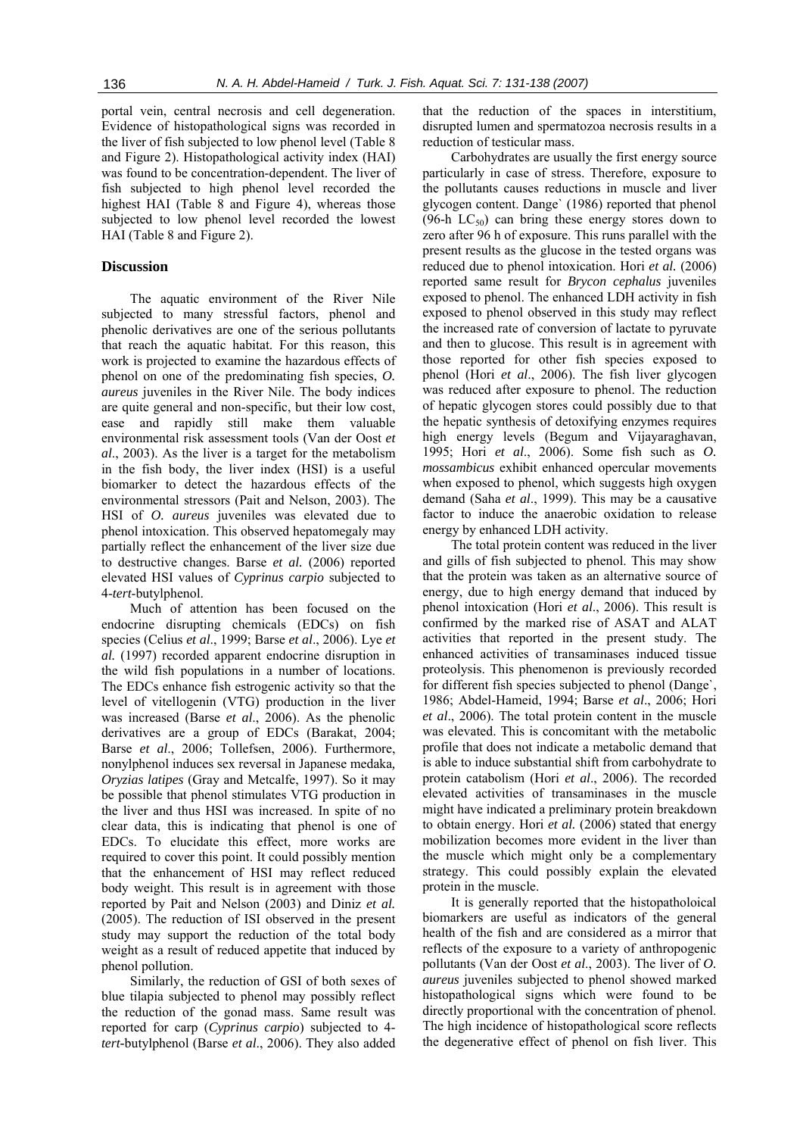portal vein, central necrosis and cell degeneration. Evidence of histopathological signs was recorded in the liver of fish subjected to low phenol level (Table 8 and Figure 2). Histopathological activity index (HAI) was found to be concentration-dependent. The liver of fish subjected to high phenol level recorded the highest HAI (Table 8 and Figure 4), whereas those subjected to low phenol level recorded the lowest HAI (Table 8 and Figure 2).

# **Discussion**

The aquatic environment of the River Nile subjected to many stressful factors, phenol and phenolic derivatives are one of the serious pollutants that reach the aquatic habitat. For this reason, this work is projected to examine the hazardous effects of phenol on one of the predominating fish species, *O. aureus* juveniles in the River Nile. The body indices are quite general and non-specific, but their low cost, ease and rapidly still make them valuable environmental risk assessment tools (Van der Oost *et al*., 2003). As the liver is a target for the metabolism in the fish body, the liver index (HSI) is a useful biomarker to detect the hazardous effects of the environmental stressors (Pait and Nelson, 2003). The HSI of *O. aureus* juveniles was elevated due to phenol intoxication. This observed hepatomegaly may partially reflect the enhancement of the liver size due to destructive changes. Barse *et al.* (2006) reported elevated HSI values of *Cyprinus carpio* subjected to 4-*tert*-butylphenol.

Much of attention has been focused on the endocrine disrupting chemicals (EDCs) on fish species (Celius *et al*., 1999; Barse *et al*., 2006). Lye *et al.* (1997) recorded apparent endocrine disruption in the wild fish populations in a number of locations. The EDCs enhance fish estrogenic activity so that the level of vitellogenin (VTG) production in the liver was increased (Barse *et al*., 2006). As the phenolic derivatives are a group of EDCs (Barakat, 2004; Barse *et al*., 2006; Tollefsen, 2006). Furthermore, nonylphenol induces sex reversal in Japanese medaka*, Oryzias latipes* (Gray and Metcalfe, 1997). So it may be possible that phenol stimulates VTG production in the liver and thus HSI was increased. In spite of no clear data, this is indicating that phenol is one of EDCs. To elucidate this effect, more works are required to cover this point. It could possibly mention that the enhancement of HSI may reflect reduced body weight. This result is in agreement with those reported by Pait and Nelson (2003) and Diniz *et al.* (2005). The reduction of ISI observed in the present study may support the reduction of the total body weight as a result of reduced appetite that induced by phenol pollution.

Similarly, the reduction of GSI of both sexes of blue tilapia subjected to phenol may possibly reflect the reduction of the gonad mass. Same result was reported for carp (*Cyprinus carpio*) subjected to 4 *tert-*butylphenol (Barse *et al*., 2006). They also added

that the reduction of the spaces in interstitium, disrupted lumen and spermatozoa necrosis results in a reduction of testicular mass.

Carbohydrates are usually the first energy source particularly in case of stress. Therefore, exposure to the pollutants causes reductions in muscle and liver glycogen content. Dange` (1986) reported that phenol (96-h  $LC_{50}$ ) can bring these energy stores down to zero after 96 h of exposure. This runs parallel with the present results as the glucose in the tested organs was reduced due to phenol intoxication. Hori *et al.* (2006) reported same result for *Brycon cephalus* juveniles exposed to phenol. The enhanced LDH activity in fish exposed to phenol observed in this study may reflect the increased rate of conversion of lactate to pyruvate and then to glucose. This result is in agreement with those reported for other fish species exposed to phenol (Hori *et al*., 2006). The fish liver glycogen was reduced after exposure to phenol. The reduction of hepatic glycogen stores could possibly due to that the hepatic synthesis of detoxifying enzymes requires high energy levels (Begum and Vijayaraghavan, 1995; Hori *et al*., 2006). Some fish such as *O. mossambicus* exhibit enhanced opercular movements when exposed to phenol, which suggests high oxygen demand (Saha *et al*., 1999). This may be a causative factor to induce the anaerobic oxidation to release energy by enhanced LDH activity.

The total protein content was reduced in the liver and gills of fish subjected to phenol. This may show that the protein was taken as an alternative source of energy, due to high energy demand that induced by phenol intoxication (Hori *et al*., 2006). This result is confirmed by the marked rise of ASAT and ALAT activities that reported in the present study. The enhanced activities of transaminases induced tissue proteolysis. This phenomenon is previously recorded for different fish species subjected to phenol (Dange`, 1986; Abdel-Hameid, 1994; Barse *et al*., 2006; Hori *et al*., 2006). The total protein content in the muscle was elevated. This is concomitant with the metabolic profile that does not indicate a metabolic demand that is able to induce substantial shift from carbohydrate to protein catabolism (Hori *et al*., 2006). The recorded elevated activities of transaminases in the muscle might have indicated a preliminary protein breakdown to obtain energy. Hori *et al.* (2006) stated that energy mobilization becomes more evident in the liver than the muscle which might only be a complementary strategy. This could possibly explain the elevated protein in the muscle.

It is generally reported that the histopatholoical biomarkers are useful as indicators of the general health of the fish and are considered as a mirror that reflects of the exposure to a variety of anthropogenic pollutants (Van der Oost *et al*., 2003). The liver of *O. aureus* juveniles subjected to phenol showed marked histopathological signs which were found to be directly proportional with the concentration of phenol. The high incidence of histopathological score reflects the degenerative effect of phenol on fish liver. This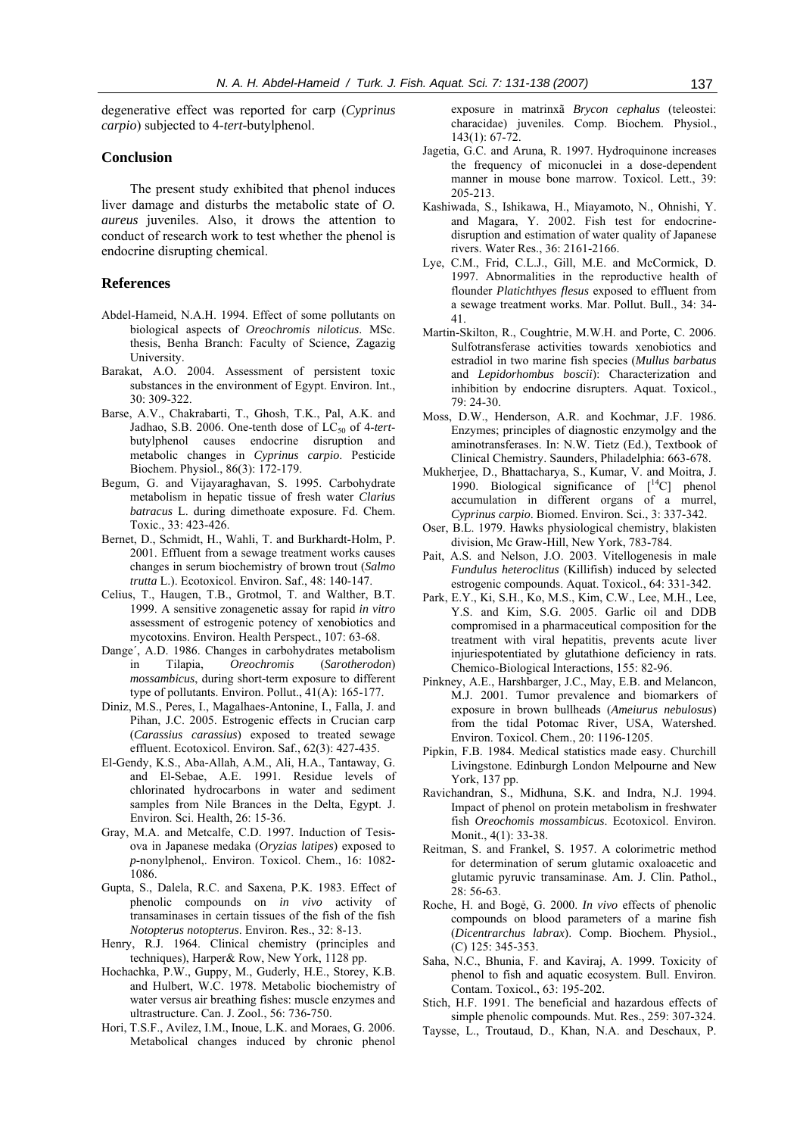degenerative effect was reported for carp (*Cyprinus carpio*) subjected to 4-*tert-*butylphenol.

# **Conclusion**

The present study exhibited that phenol induces liver damage and disturbs the metabolic state of *O. aureus* juveniles. Also, it drows the attention to conduct of research work to test whether the phenol is endocrine disrupting chemical.

# **References**

- Abdel-Hameid, N.A.H. 1994. Effect of some pollutants on biological aspects of *Oreochromis niloticus*. MSc. thesis, Benha Branch: Faculty of Science, Zagazig University.
- Barakat, A.O. 2004. Assessment of persistent toxic substances in the environment of Egypt. Environ. Int., 30: 309-322.
- Barse, A.V., Chakrabarti, T., Ghosh, T.K., Pal, A.K. and Jadhao, S.B. 2006. One-tenth dose of  $LC_{50}$  of 4-tertbutylphenol causes endocrine disruption and metabolic changes in *Cyprinus carpio*. Pesticide Biochem. Physiol., 86(3): 172-179.
- Begum, G. and Vijayaraghavan, S. 1995. Carbohydrate metabolism in hepatic tissue of fresh water *Clarius batracus* L. during dimethoate exposure. Fd. Chem. Toxic., 33: 423-426.
- Bernet, D., Schmidt, H., Wahli, T. and Burkhardt-Holm, P. 2001. Effluent from a sewage treatment works causes changes in serum biochemistry of brown trout (*Salmo trutta* L.). Ecotoxicol. Environ. Saf., 48: 140-147.
- Celius, T., Haugen, T.B., Grotmol, T. and Walther, B.T. 1999. A sensitive zonagenetic assay for rapid *in vitro* assessment of estrogenic potency of xenobiotics and mycotoxins. Environ. Health Perspect., 107: 63-68.
- Dange´, A.D. 1986. Changes in carbohydrates metabolism in Tilapia, *Oreochromis* (*Sarotherodon*) *mossambicus*, during short-term exposure to different type of pollutants. Environ. Pollut., 41(A): 165-177.
- Diniz, M.S., Peres, I., Magalhaes-Antonine, I., Falla, J. and Pihan, J.C. 2005. Estrogenic effects in Crucian carp (*Carassius carassius*) exposed to treated sewage effluent. Ecotoxicol. Environ. Saf., 62(3): 427-435.
- El-Gendy, K.S., Aba-Allah, A.M., Ali, H.A., Tantaway, G. and El-Sebae, A.E. 1991. Residue levels of chlorinated hydrocarbons in water and sediment samples from Nile Brances in the Delta, Egypt. J. Environ. Sci. Health, 26: 15-36.
- Gray, M.A. and Metcalfe, C.D. 1997. Induction of Tesisova in Japanese medaka (*Oryzias latipes*) exposed to *p*-nonylphenol,. Environ. Toxicol. Chem., 16: 1082- 1086.
- Gupta, S., Dalela, R.C. and Saxena, P.K. 1983. Effect of phenolic compounds on *in vivo* activity of transaminases in certain tissues of the fish of the fish *Notopterus notopterus*. Environ. Res., 32: 8-13.
- Henry, R.J. 1964. Clinical chemistry (principles and techniques), Harper& Row, New York, 1128 pp.
- Hochachka, P.W., Guppy, M., Guderly, H.E., Storey, K.B. and Hulbert, W.C. 1978. Metabolic biochemistry of water versus air breathing fishes: muscle enzymes and ultrastructure. Can. J. Zool., 56: 736-750.
- Hori, T.S.F., Avilez, I.M., Inoue, L.K. and Moraes, G. 2006. Metabolical changes induced by chronic phenol

exposure in matrinxã *Brycon cephalus* (teleostei: characidae) juveniles. Comp. Biochem. Physiol., 143(1): 67-72.

- Jagetia, G.C. and Aruna, R. 1997. Hydroquinone increases the frequency of miconuclei in a dose-dependent manner in mouse bone marrow. Toxicol. Lett., 39: 205-213.
- Kashiwada, S., Ishikawa, H., Miayamoto, N., Ohnishi, Y. and Magara, Y. 2002. Fish test for endocrinedisruption and estimation of water quality of Japanese rivers. Water Res., 36: 2161-2166.
- Lye, C.M., Frid, C.L.J., Gill, M.E. and McCormick, D. 1997. Abnormalities in the reproductive health of flounder *Platichthyes flesus* exposed to effluent from a sewage treatment works. Mar. Pollut. Bull., 34: 34- 41.
- Martin-Skilton, R., Coughtrie, M.W.H. and Porte, C. 2006. Sulfotransferase activities towards xenobiotics and estradiol in two marine fish species (*Mullus barbatus*  and *Lepidorhombus boscii*): Characterization and inhibition by endocrine disrupters. Aquat. Toxicol.,  $79.24 - 30.$
- Moss, D.W., Henderson, A.R. and Kochmar, J.F. 1986. Enzymes; principles of diagnostic enzymolgy and the aminotransferases. In: N.W. Tietz (Ed.), Textbook of Clinical Chemistry. Saunders, Philadelphia: 663-678.
- Mukherjee, D., Bhattacharya, S., Kumar, V. and Moitra, J. 1990. Biological significance of [14C] phenol accumulation in different organs of a murrel, *Cyprinus carpio*. Biomed. Environ. Sci., 3: 337-342.
- Oser, B.L. 1979. Hawks physiological chemistry, blakisten division, Mc Graw-Hill, New York, 783-784.
- Pait, A.S. and Nelson, J.O. 2003. Vitellogenesis in male *Fundulus heteroclitus* (Killifish) induced by selected estrogenic compounds. Aquat. Toxicol., 64: 331-342.
- Park, E.Y., Ki, S.H., Ko, M.S., Kim, C.W., Lee, M.H., Lee, Y.S. and Kim, S.G. 2005. Garlic oil and DDB compromised in a pharmaceutical composition for the treatment with viral hepatitis, prevents acute liver injuriespotentiated by glutathione deficiency in rats. Chemico-Biological Interactions, 155: 82-96.
- Pinkney, A.E., Harshbarger, J.C., May, E.B. and Melancon, M.J. 2001. Tumor prevalence and biomarkers of exposure in brown bullheads (*Ameiurus nebulosus*) from the tidal Potomac River, USA, Watershed. Environ. Toxicol. Chem., 20: 1196-1205.
- Pipkin, F.B. 1984. Medical statistics made easy. Churchill Livingstone. Edinburgh London Melpourne and New York, 137 pp.
- Ravichandran, S., Midhuna, S.K. and Indra, N.J. 1994. Impact of phenol on protein metabolism in freshwater fish *Oreochomis mossambicus*. Ecotoxicol. Environ. Monit., 4(1): 33-38.
- Reitman, S. and Frankel, S. 1957. A colorimetric method for determination of serum glutamic oxaloacetic and glutamic pyruvic transaminase. Am. J. Clin. Pathol., 28: 56-63.
- Roche, H. and Bogẻ, G. 2000. *In vivo* effects of phenolic compounds on blood parameters of a marine fish (*Dicentrarchus labrax*). Comp. Biochem. Physiol., (C) 125: 345-353.
- Saha, N.C., Bhunia, F. and Kaviraj, A. 1999. Toxicity of phenol to fish and aquatic ecosystem. Bull. Environ. Contam. Toxicol., 63: 195-202.
- Stich, H.F. 1991. The beneficial and hazardous effects of simple phenolic compounds. Mut. Res., 259: 307-324.
- Taysse, L., Troutaud, D., Khan, N.A. and Deschaux, P.